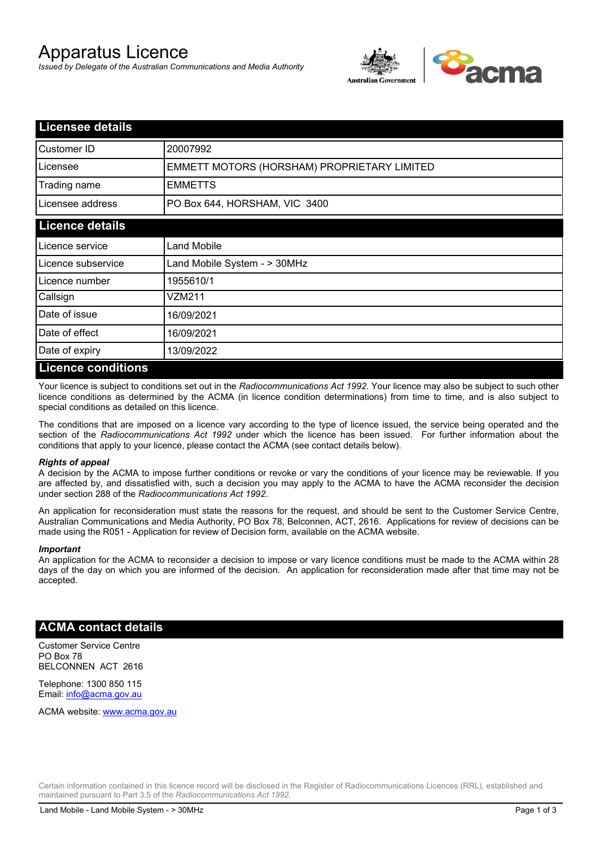# Apparatus Licence

*Issued by Delegate of the Australian Communications and Media Authority*



| <b>Licensee details</b> |                                             |
|-------------------------|---------------------------------------------|
| Customer ID             | 20007992                                    |
| Licensee                | EMMETT MOTORS (HORSHAM) PROPRIETARY LIMITED |
| Trading name            | <b>EMMETTS</b>                              |
| Licensee address        | PO Box 644, HORSHAM, VIC 3400               |
| <b>Licence details</b>  |                                             |
| l Licence service       | <b>Land Mobile</b>                          |
| Licence subservice      | Land Mobile System - > 30MHz                |
| l Licence number        | 1955610/1                                   |
| Callsign                | VZM211                                      |
| Date of issue           | 16/09/2021                                  |
| Date of effect          | 16/09/2021                                  |
| Date of expiry          | 13/09/2022                                  |
| Licance conditions      |                                             |

### **Licence conditions**

Your licence is subject to conditions set out in the *Radiocommunications Act 1992*. Your licence may also be subject to such other licence conditions as determined by the ACMA (in licence condition determinations) from time to time, and is also subject to special conditions as detailed on this licence.

The conditions that are imposed on a licence vary according to the type of licence issued, the service being operated and the section of the *Radiocommunications Act 1992* under which the licence has been issued. For further information about the conditions that apply to your licence, please contact the ACMA (see contact details below).

#### *Rights of appeal*

A decision by the ACMA to impose further conditions or revoke or vary the conditions of your licence may be reviewable. If you are affected by, and dissatisfied with, such a decision you may apply to the ACMA to have the ACMA reconsider the decision under section 288 of the *Radiocommunications Act 1992*.

An application for reconsideration must state the reasons for the request, and should be sent to the Customer Service Centre, Australian Communications and Media Authority, PO Box 78, Belconnen, ACT, 2616. Applications for review of decisions can be made using the R051 - Application for review of Decision form, available on the ACMA website.

#### *Important*

An application for the ACMA to reconsider a decision to impose or vary licence conditions must be made to the ACMA within 28 days of the day on which you are informed of the decision. An application for reconsideration made after that time may not be accepted.

## **ACMA contact details**

Customer Service Centre PO Box 78 BELCONNEN ACT 2616

Telephone: 1300 850 115 Email: info@acma.gov.au

ACMA website: www.acma.gov.au

Certain information contained in this licence record will be disclosed in the Register of Radiocommunications Licences (RRL), established and maintained pursuant to Part 3.5 of the *Radiocommunications Act 1992.*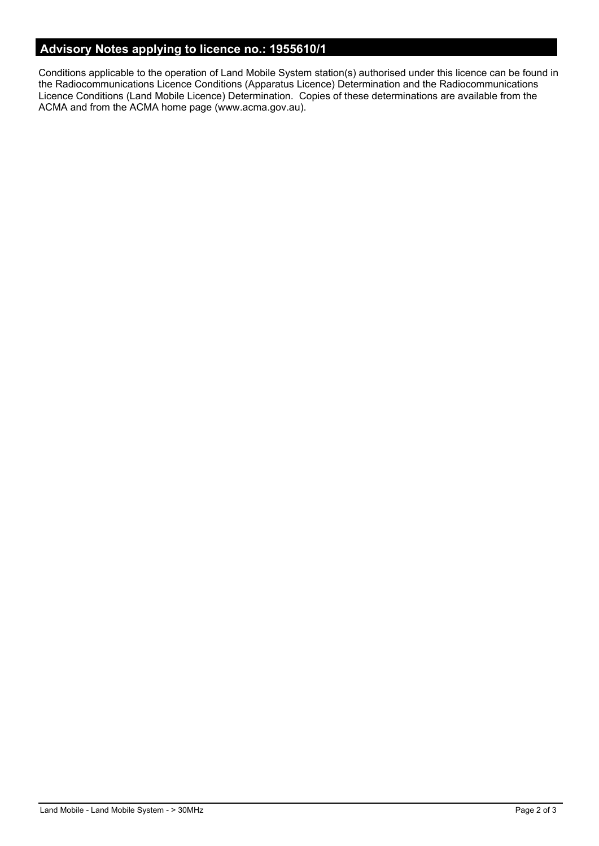# **Advisory Notes applying to licence no.: 1955610/1**

Conditions applicable to the operation of Land Mobile System station(s) authorised under this licence can be found in the Radiocommunications Licence Conditions (Apparatus Licence) Determination and the Radiocommunications Licence Conditions (Land Mobile Licence) Determination. Copies of these determinations are available from the ACMA and from the ACMA home page (www.acma.gov.au).